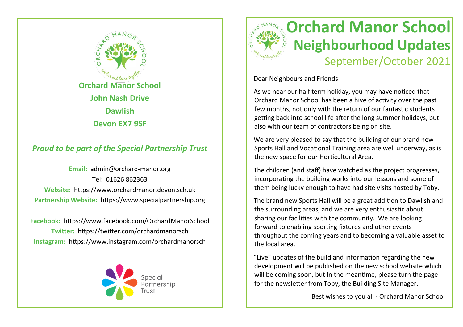

## *Proud to be part of the Special Partnership Trust*

**Email:** admin@orchard-manor.org Tel: 01626 862363 **Website:** https://www.orchardmanor.devon.sch.uk **Partnership Website:** https://www.specialpartnership.org

**Facebook:** https://www.facebook.com/OrchardManorSchool **Twitter:** https://twitter.com/orchardmanorsch **Instagram:** https://www.instagram.com/orchardmanorsch





Dear Neighbours and Friends

As we near our half term holiday, you may have noticed that Orchard Manor School has been a hive of activity over the past few months, not only with the return of our fantastic students getting back into school life after the long summer holidays, but also with our team of contractors being on site.

We are very pleased to say that the building of our brand new Sports Hall and Vocational Training area are well underway, as is the new space for our Horticultural Area.

The children (and staff) have watched as the project progresses, incorporating the building works into our lessons and some of them being lucky enough to have had site visits hosted by Toby.

The brand new Sports Hall will be a great addition to Dawlish and the surrounding areas, and we are very enthusiastic about sharing our facilities with the community. We are looking forward to enabling sporting fixtures and other events throughout the coming years and to becoming a valuable asset to the local area.

"Live" updates of the build and information regarding the new development will be published on the new school website which will be coming soon, but In the meantime, please turn the page for the newsletter from Toby, the Building Site Manager.

Best wishes to you all - Orchard Manor School